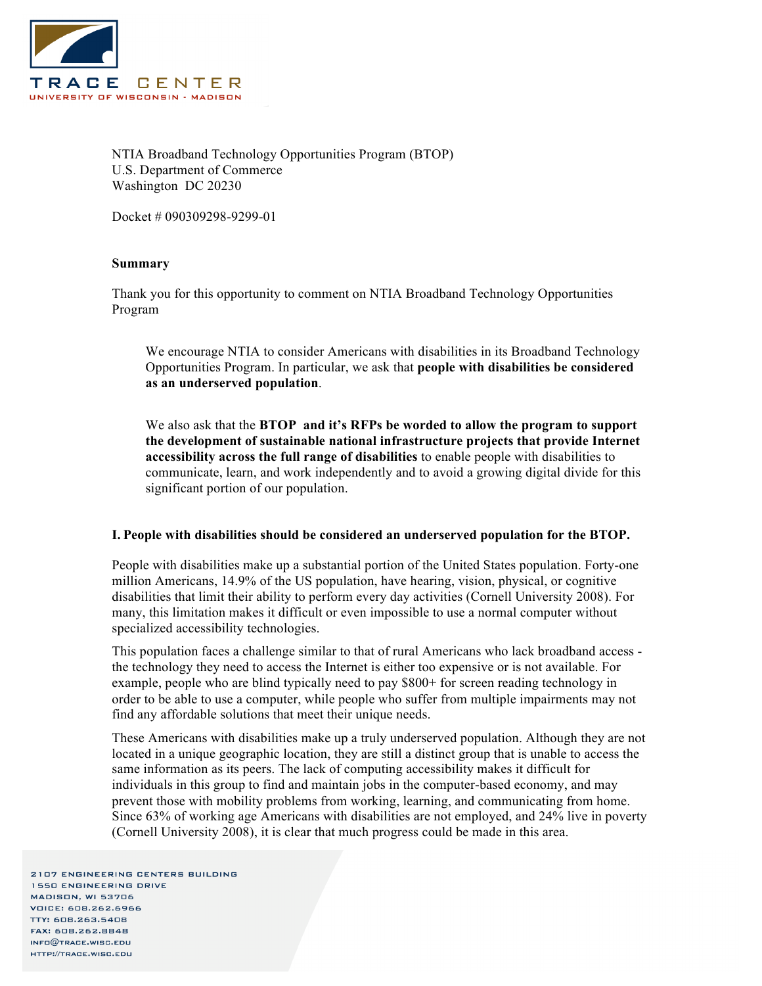

NTIA Broadband Technology Opportunities Program (BTOP) U.S. Department of Commerce Washington DC 20230

Docket # 090309298-9299-01

## **Summary**

Thank you for this opportunity to comment on NTIA Broadband Technology Opportunities Program

We encourage NTIA to consider Americans with disabilities in its Broadband Technology Opportunities Program. In particular, we ask that **people with disabilities be considered as an underserved population**.

We also ask that the **BTOP and it's RFPs be worded to allow the program to support the development of sustainable national infrastructure projects that provide Internet accessibility across the full range of disabilities** to enable people with disabilities to communicate, learn, and work independently and to avoid a growing digital divide for this significant portion of our population.

## **I. People with disabilities should be considered an underserved population for the BTOP.**

People with disabilities make up a substantial portion of the United States population. Forty-one million Americans, 14.9% of the US population, have hearing, vision, physical, or cognitive disabilities that limit their ability to perform every day activities (Cornell University 2008). For many, this limitation makes it difficult or even impossible to use a normal computer without specialized accessibility technologies.

This population faces a challenge similar to that of rural Americans who lack broadband access the technology they need to access the Internet is either too expensive or is not available. For example, people who are blind typically need to pay \$800+ for screen reading technology in order to be able to use a computer, while people who suffer from multiple impairments may not find any affordable solutions that meet their unique needs.

These Americans with disabilities make up a truly underserved population. Although they are not located in a unique geographic location, they are still a distinct group that is unable to access the same information as its peers. The lack of computing accessibility makes it difficult for individuals in this group to find and maintain jobs in the computer-based economy, and may prevent those with mobility problems from working, learning, and communicating from home. Since 63% of working age Americans with disabilities are not employed, and 24% live in poverty (Cornell University 2008), it is clear that much progress could be made in this area.

2107 ENGINEERING CENTERS BUILDING **1550 ENGINEERING DRIVE** MADISON, WI 53706 **VOICE: 608.262.6966** TTY: 608.263.5408 FAX: 608.262.8848  $INFG@$ TRACE.WISC.EDU HTTP://TRACE.WISC.EDU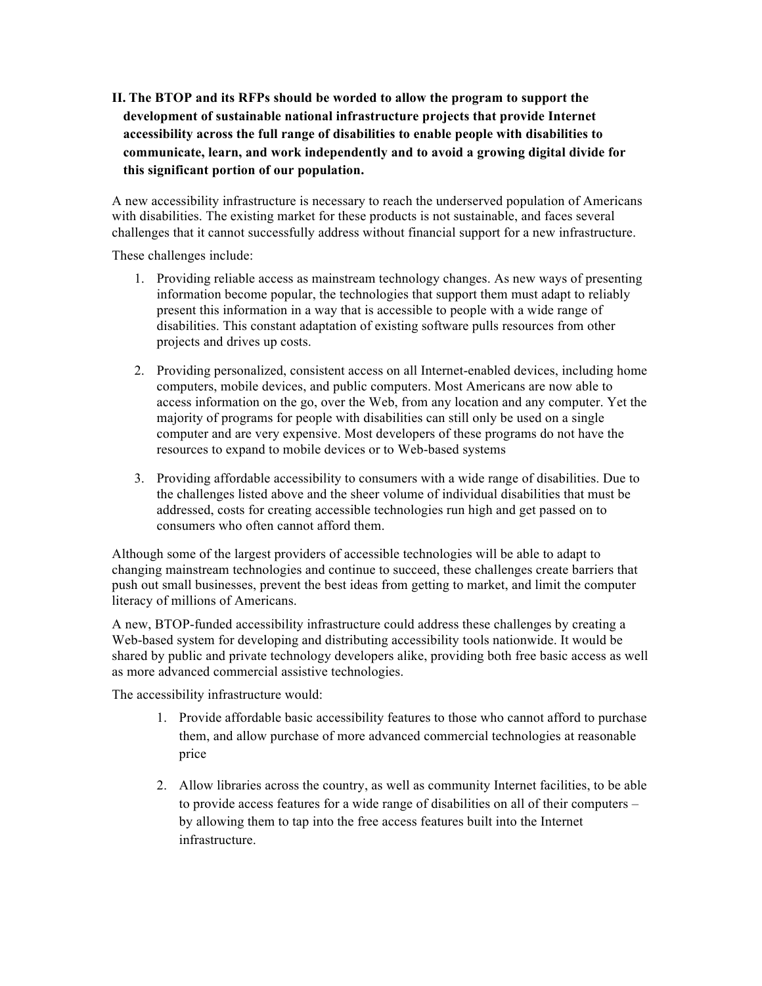**II. The BTOP and its RFPs should be worded to allow the program to support the development of sustainable national infrastructure projects that provide Internet accessibility across the full range of disabilities to enable people with disabilities to communicate, learn, and work independently and to avoid a growing digital divide for this significant portion of our population.**

A new accessibility infrastructure is necessary to reach the underserved population of Americans with disabilities. The existing market for these products is not sustainable, and faces several challenges that it cannot successfully address without financial support for a new infrastructure.

These challenges include:

- 1. Providing reliable access as mainstream technology changes. As new ways of presenting information become popular, the technologies that support them must adapt to reliably present this information in a way that is accessible to people with a wide range of disabilities. This constant adaptation of existing software pulls resources from other projects and drives up costs.
- 2. Providing personalized, consistent access on all Internet-enabled devices, including home computers, mobile devices, and public computers. Most Americans are now able to access information on the go, over the Web, from any location and any computer. Yet the majority of programs for people with disabilities can still only be used on a single computer and are very expensive. Most developers of these programs do not have the resources to expand to mobile devices or to Web-based systems
- 3. Providing affordable accessibility to consumers with a wide range of disabilities. Due to the challenges listed above and the sheer volume of individual disabilities that must be addressed, costs for creating accessible technologies run high and get passed on to consumers who often cannot afford them.

Although some of the largest providers of accessible technologies will be able to adapt to changing mainstream technologies and continue to succeed, these challenges create barriers that push out small businesses, prevent the best ideas from getting to market, and limit the computer literacy of millions of Americans.

A new, BTOP-funded accessibility infrastructure could address these challenges by creating a Web-based system for developing and distributing accessibility tools nationwide. It would be shared by public and private technology developers alike, providing both free basic access as well as more advanced commercial assistive technologies.

The accessibility infrastructure would:

- 1. Provide affordable basic accessibility features to those who cannot afford to purchase them, and allow purchase of more advanced commercial technologies at reasonable price
- 2. Allow libraries across the country, as well as community Internet facilities, to be able to provide access features for a wide range of disabilities on all of their computers – by allowing them to tap into the free access features built into the Internet infrastructure.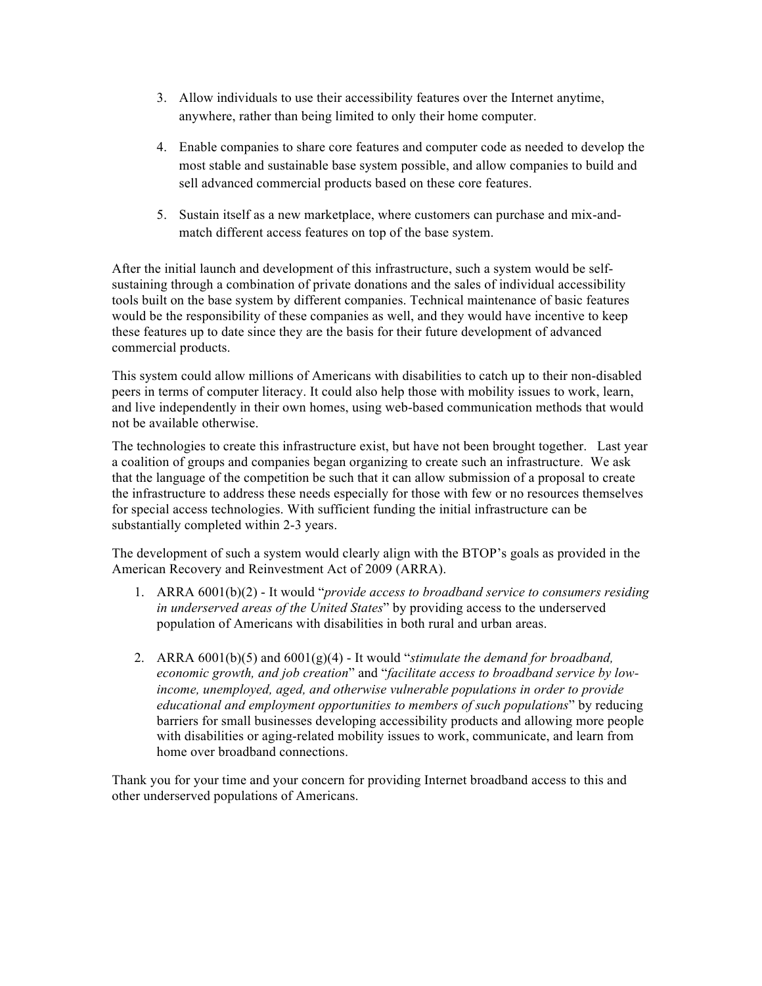- 3. Allow individuals to use their accessibility features over the Internet anytime, anywhere, rather than being limited to only their home computer.
- 4. Enable companies to share core features and computer code as needed to develop the most stable and sustainable base system possible, and allow companies to build and sell advanced commercial products based on these core features.
- 5. Sustain itself as a new marketplace, where customers can purchase and mix-andmatch different access features on top of the base system.

After the initial launch and development of this infrastructure, such a system would be selfsustaining through a combination of private donations and the sales of individual accessibility tools built on the base system by different companies. Technical maintenance of basic features would be the responsibility of these companies as well, and they would have incentive to keep these features up to date since they are the basis for their future development of advanced commercial products.

This system could allow millions of Americans with disabilities to catch up to their non-disabled peers in terms of computer literacy. It could also help those with mobility issues to work, learn, and live independently in their own homes, using web-based communication methods that would not be available otherwise.

The technologies to create this infrastructure exist, but have not been brought together. Last year a coalition of groups and companies began organizing to create such an infrastructure. We ask that the language of the competition be such that it can allow submission of a proposal to create the infrastructure to address these needs especially for those with few or no resources themselves for special access technologies. With sufficient funding the initial infrastructure can be substantially completed within 2-3 years.

The development of such a system would clearly align with the BTOP's goals as provided in the American Recovery and Reinvestment Act of 2009 (ARRA).

- 1. ARRA 6001(b)(2) It would "*provide access to broadband service to consumers residing in underserved areas of the United States*" by providing access to the underserved population of Americans with disabilities in both rural and urban areas.
- 2. ARRA 6001(b)(5) and 6001(g)(4) It would "*stimulate the demand for broadband, economic growth, and job creation*" and "*facilitate access to broadband service by lowincome, unemployed, aged, and otherwise vulnerable populations in order to provide educational and employment opportunities to members of such populations*" by reducing barriers for small businesses developing accessibility products and allowing more people with disabilities or aging-related mobility issues to work, communicate, and learn from home over broadband connections.

Thank you for your time and your concern for providing Internet broadband access to this and other underserved populations of Americans.